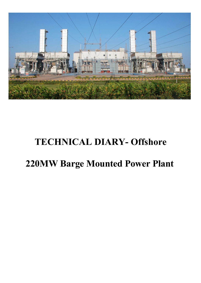

# **TECHNICAL DIARY- Offshore**

# **220MW Barge Mounted Power Plant**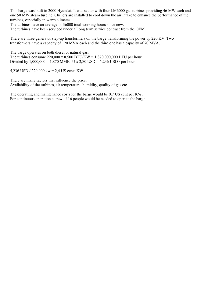This barge was built in 2000 Hyundai. It was set up with four LM6000 gas turbines providing 46 MW each and one 50 MW steam turbine. Chillers are installed to cool down the air intake to enhance the performance of the turbines, especially in warm climates.

The turbines have an average of 36000 total working hours since new.

The turbines have been serviced under a Long term service contract from the OEM.

There are three generator step-up transformers on the barge transforming the power up 220 KV. Two transformers have a capacity of 120 MVA each and the third one has a capacity of 70 MVA.

The barge operates on both diesel or natural gas. The turbines consume 220,000 x 8,500 BTU/KW = 1,870,000,000 BTU per hour. Divided by  $1,000,000 = 1,870$  MMBTU x 2,80 USD = 5,236 USD / per hour

5,236 USD / 220,000 kw = 2,4 US cents KW

There are many factors that influence the price. Availability of the turbines, air temperature, humidity, quality of gas etc.

The operating and maintenance costs for the barge would be 0.7 US cent per KW. For continuous operation a crew of 16 people would be needed to operate the barge.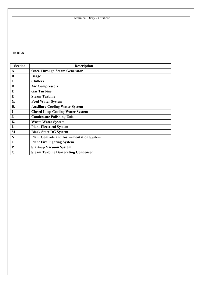#### **INDEX**

| <b>Section</b>    | <b>Description</b>                               |
|-------------------|--------------------------------------------------|
| $\mathbf A$       | <b>Once Through Steam Generator</b>              |
| $\bf{B}$          | <b>Barge</b>                                     |
| $\mathbf C$       | <b>Chillers</b>                                  |
| D.                | <b>Air Compressors</b>                           |
| E.                | <b>Gas Turbine</b>                               |
| F.                | <b>Steam Turbine</b>                             |
| $\bf G$           | <b>Feed Water System</b>                         |
| $\bf{H}$          | <b>Auxiliary Cooling Water System</b>            |
| $\bf I$           | <b>Closed Loop Cooling Water System</b>          |
| $\mathbf J$       | <b>Condensate Polishing Unit</b>                 |
| ${\bf K}$         | <b>Waste Water System</b>                        |
| L                 | <b>Plant Electrical System</b>                   |
| M                 | <b>Black Start DG System</b>                     |
| N                 | <b>Plant Controls and Instrumentation System</b> |
| $\mathbf{\Omega}$ | <b>Plant Fire Fighting System</b>                |
| <b>P.</b>         | <b>Start-up Vacuum System</b>                    |
| Q                 | <b>Steam Turbine De-aerating Condenser</b>       |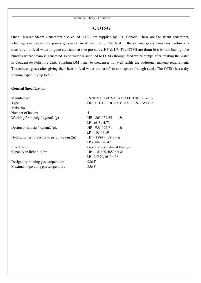### **A. OTSG**

Once Through Steam Generators also called OTSG are supplied by IST, Canada. These are the steam generators, which generate steam for power generation in steam turbine. The heat in the exhaust gases from Gas Turbines is transferred to feed water to generate steam at two pressures, HP & LP. The OTSG are drum less boilers having tube bundles where steam is generated. Feed water is supplied to OTSG through feed water pumps after treating the water in Condensate Polishing Unit. Suppling DM water to condenser hot well fulfils the additional makeup requirement. The exhaust gases after giving their heat to feed water are let off to atmosphere through stack. The OTSG has a dry running capability up to 560◦C.

#### **General Specification:**

| Manufacture                                   | : INNOVATIVE STEAM TECHNOLOGIES |  |  |
|-----------------------------------------------|---------------------------------|--|--|
| Type                                          | : ONCE THROUGH STEAM GENERATOR  |  |  |
| Make No.                                      | ÷                               |  |  |
| Number of boilers                             | :4                              |  |  |
| Working Pr in psig / $kg/cm2$ (g)             | : HP - 865 / 59.62<br>&         |  |  |
|                                               | $LP - 68.3 / 4.71$              |  |  |
| Design pr in psig / kg/cm2 (g).               | : HP - 953 / 65.71<br>&         |  |  |
|                                               | $LP - 103 / 7.10$               |  |  |
| Hydraulic test pressure in psig / $kg/cm2(g)$ | : HP - 1884 / 129.87 &          |  |  |
|                                               | $LP - 384 / 26.47$              |  |  |
| <b>Flue Gases</b>                             | : Gas Turbine exhaust flue gas  |  |  |
| Capacity in $lb/hr / kg/hr$ .                 | : HP - 107600/48806.5 &         |  |  |
|                                               | LP - 35570/16134.28             |  |  |
| Design dry running gas temperature            | : 986 F                         |  |  |
| Maximum operating gas temperature             | :856 F                          |  |  |
|                                               |                                 |  |  |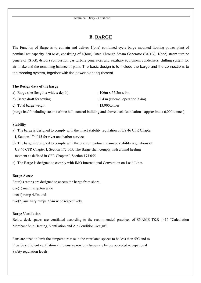### **B. BARGE**

The Function of Barge is to contain and deliver 1(one) combined cycle barge mounted floating power plant of nominal net capacity 220 MW, consisting of 4(four) Once Through Steam Generator (OSTG), 1(one) steam turbine generator (STG), 4(four) combustion gas turbine generators and auxiliary equipment condensers, chilling system for air intake and the remaining balance of plant. The basic design is to include the barge and the connections to the mooring system, together with the power plant equipment.

#### **The Design data of the barge**

| a) Barge size (length x wide x depth) | : $106m \times 55.2m \times 6m$    |
|---------------------------------------|------------------------------------|
| b) Barge draft for towing             | : 2.4 m (Normal operation $3.4m$ ) |
| c) Total barge weight                 | $: 13,900$ tonnes                  |

(barge itself including steam turbine hall, control building and above deck foundations: approximate 6,000 tonnes)

#### **Stability**

- a) The barge is designed to comply with the intact stability regulation of US 46 CFR Chapter I, Section 174.015 for river and harbor service.
- b) The barge is designed to comply with the one compartment damage stability regulations of US 46 CFR Chapter I, Section 172.065. The Barge shall comply with a wind heeling moment as defined in CFR Chapter I, Section 174.055
- c) The Barge is designed to comply with IMO International Convention on Load Lines

#### **Barge Access**

Four(4) ramps are designed to access the barge from shore,

one(1) main ramp 6m wide

- one(1) ramp 4.5m and
- two(2) auxiliary ramps 3.5m wide respectively.

#### **Barge Ventilation**

Below deck spaces are ventilated according to the recommended practices of SNAME T&R 4~16 "Calculation Merchant Ship Heating, Ventilation and Air Condition Design".

Fans are sized to limit the temperature rise in the ventilated spaces to be less than 5°C and to Provide sufficient ventilation air to ensure noxious fumes are below accepted occupational Safety regulation levels.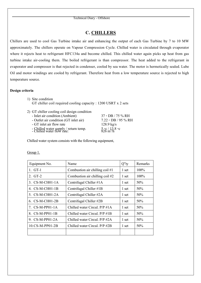# **C. CHILLERS**

Chillers are used to cool Gas Turbine intake air and enhancing the output of each Gas Turbine by 7 to 10 MW approximately. The chillers operate on Vapour Compression Cycle. Chilled water is circulated through evaporator where it rejects heat to refrigerant HFC134a and become chilled. This chilled water again picks up heat from gas turbine intake air-cooling them. The boiled refrigerant is than compressor. The heat added to the refrigerant in evaporator and compressor is that rejected in condenser, cooled by sea water. The motor is hermetically sealed. Lube Oil and motor windings are cooled by refrigerant. Therefore heat from a low temperature source is rejected to high temperature source.

#### **Design criteria**

| 1) Site condition                                              |
|----------------------------------------------------------------|
| GT chiller coil required cooling capacity : 1200 USRT x 2 sets |

| 2) GT chiller cooling coil design condition                         |                                             |
|---------------------------------------------------------------------|---------------------------------------------|
| - Inlet air condition (Ambient)                                     | $37 \circ DB / 75 \% RH$                    |
| - Outlet air condition (GT inlet air)                               | $7.22 \cdot DB / 95 \% RH$                  |
| - GT inlet air flow rate                                            | $128.9 \text{ kg/s}$                        |
| - Chilled water supply / return temp.<br>- Chilled water flow rate: | $5\%$ $^{13.8}_{\text{m}}$ s <sup>o</sup> c |

Chilled water system consists with the following equipment,

| Equipment No.            | Name                              | $Q''$ ty | Remarks |
|--------------------------|-----------------------------------|----------|---------|
| 1. GT-1                  | Combustion air chilling coil $#1$ | 1 set    | $100\%$ |
| 2. GT-2                  | Combustion air chilling coil #2   | 1 set    | 100%    |
| $3. CS-M-CH01-1A$        | Centrifugal Chiller #1A           | 1 set    | 50%     |
| 4. CS-M-CH01-1B          | Centrifugal Chiller #1B           | 1 set    | 50%     |
| 5. CS-M-CH01-2A          | Centrifugal Chiller #2A           | 1 set    | 50%     |
| $6. \text{CS-M-CH}01-2B$ | Centrifugal Chiller #2B           | 1 set    | 50%     |
| $7.$ CS-M-PP01-1A        | Chilled water Circul. $P/P \#1A$  | 1 set    | 50%     |
| 8. CS-M-PP01-1B          | Chilled water Circul. $P/P \#1B$  | 1 set    | 50%     |
| 9. CS-M-PP01-2A          | Chilled water Circul, P/P #2A     | 1 set    | 50%     |
| $10.$ CS-M-PP $01-2B$    | Chilled water Circul. P/P #2B     | 1 set    | 50%     |
|                          |                                   |          |         |

Group 1.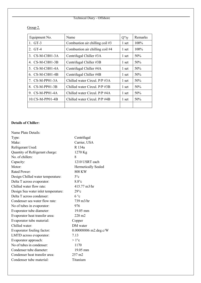Group 2.

| Equipment No.     | Name                             | $Q''$ ty | Remarks |
|-------------------|----------------------------------|----------|---------|
| 1. GT-3           | Combustion air chilling coil #3  | 1 set    | 100%    |
| 2. GT-4           | Combustion air chilling coil #4  | 1 set    | $100\%$ |
| 3. CS-M-CH01-3A   | Centrifugal Chiller #3A          | 1 set    | 50%     |
| 4. CS-M-CH01-3B   | Centrifugal Chiller #3B          | 1 set    | 50%     |
| 5. CS-M-CH01-4A   | Centrifugal Chiller #4A          | 1 set    | 50%     |
| 6. CS-M-CH01-4B   | Centrifugal Chiller #4B          | 1 set    | 50%     |
| $7.$ CS-M-PP01-3A | Chilled water Circul, $P/P \#3A$ | 1 set    | 50%     |
| 8. CS-M-PP01-3B   | Chilled water Circul. P/P #3B    | 1 set    | 50%     |
| 9. CS-M-PP01-4A   | Chilled water Circul, P/P #4A    | 1 set    | 50%     |
| $10.CS-M-PP01-4B$ | Chilled water Circul. P/P #4B    | 1 set    | 50%     |
|                   |                                  |          |         |

#### **Details of Chiller:**

| Name Plate Details:                 |                                |
|-------------------------------------|--------------------------------|
| Type:                               | Centrifugal                    |
| Make:                               | Carrier, USA                   |
| Refrigerant Used:                   | R 134a                         |
| Quantity of Refrigerant charge:     | 1270 Kg                        |
| No. of chillers:                    | 8                              |
| Capacity:                           | 1210 USRT each                 |
| Motor:                              | <b>Hermetically Sealed</b>     |
| Rated Power:                        | 808 KW                         |
| Design Chilled water temperature:   | $5^{\circ}c$                   |
| Delta T across evaporator:          | $8.8^\circ$ c                  |
| Chilled water flow rate:            | $415.77 \text{ m}^3/\text{hr}$ |
| Design Sea water inlet temperature: | $29^{\circ}c$                  |
| Delta T across condenser:           | $6^{\circ}c$                   |
| Condenser sea water flow rate:      | $739 \text{ m}$ 3/hr           |
| No of tubes in evaporator:          | 976                            |
| Evaporator tube diameter:           | $19.05 \text{ mm}$             |
| Evaporator heat transfer area:      | $228 \text{ m}$ 2              |
| Evaporator tube material:           | Copper                         |
| Chilled water:                      | DM water                       |
| Evaporator fouling factor:          | 0.00008806 m2.deg.c/W          |
| LMTD across evaporator:             | 7.13                           |
| Evaporator approach:                | $>1^{\circ}c$                  |
| No of tubes in condenser:           | 1170                           |
| Condenser tube diameter:            | $19.05$ mm                     |
| Condenser heat transfer area:       | 257 m2                         |
| Condenser tube material:            | Titanium                       |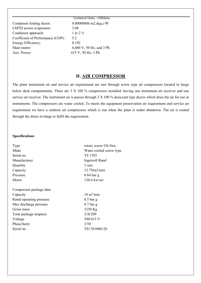Technical Diary - Offshore Condenser fouling factor: 0.00008806 m2.deg.c/W LMTD across evaporator: 3.08 Condenser approach: 1 to 2 °c Coefficient of Performance (COP): 5.2 Energy Efficiency: 0.192 Main motor: 6,600 V, 50 Hz, and 3 Ph Aux. Power: 415 V, 50 Hz, 3 Ph

# **D. AIR COMPRESSOR**

The plant instrument air and service air requirement are met through screw type air compressors located in barge below deck compartments. There are 3 X 100 % compressors installed, having one instrument air receiver and one service air receiver. The instrument air is passes through 2 X 100 % desiccant type dryers which dries the air for use in instruments. The compressors are water cooled. To meets the equipment preservation air requirement and service air requirement we have a onshore air compressors which is run when the plant is under shutdown. The air is routed through the driers in barge to fulfil the requirement.

#### **Specifications**

| rotary screw Oil free,<br>Type  |                             |
|---------------------------------|-----------------------------|
| Make<br>Water cooled screw type |                             |
| Serial no                       | TS 1703                     |
| Manufacturer                    | <b>Ingersoll Rand</b>       |
| Quantity                        | 3 sets                      |
| Capacity                        | 12.7Nm3/min                 |
| Pressure                        | 8.64 bar g                  |
| Motor                           | $120.4$ kw/set              |
| Compressor package data         |                             |
| Capacity                        | $18 \text{ m}^3/\text{min}$ |
| Rated operating pressure        | $8.5$ bar g                 |
| Max discharge pressure          | $8.7$ bar g                 |
| Gross mass                      | 3250 Kg                     |
| Total package amperes           | 218/209                     |
| Voltage                         | 380/415 V                   |
| Phase/hertz                     | 3/50                        |
| Serial no                       | TS1701000126                |
|                                 |                             |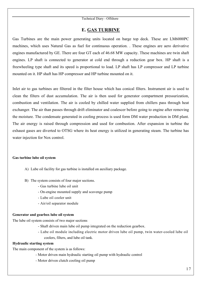#### **E. GAS TURBINE**

Gas Turbines are the main power generating units located on barge top deck. These are LM6000PC machines, which uses Natural Gas as fuel for continuous operation. . These engines are aero derivative engines manufactured by GE. There are four GT each of 46.68 MW capacity. These machines are twin shaft engines. LP shaft is connected to generator at cold end through a reduction gear box. HP shaft is a freewheeling type shaft and its speed is proportional to load. LP shaft has LP compressor and LP turbine mounted on it. HP shaft has HP compressor and HP turbine mounted on it.

Inlet air to gas turbines are filtered in the filter house which has conical filters. Instrument air is used to clean the filters of dust accumulation. The air is then used for generator compartment pressurization, combustion and ventilation. The air is cooled by chilled water supplied from chillers pass through heat exchanger. The air than passes through drift eliminator and coalescer before going to engine after removing the moisture. The condensate generated in cooling process is used form DM water production in DM plant. The air energy is raised through compression and used for combustion. After expansion in turbine the exhaust gases are diverted to OTSG where its heat energy is utilized in generating steam. The turbine has water injection for Nox control.

#### **Gas turbine lube oil system**

- A) Lube oil facility for gas turbine is installed on auxiliary package.
- B) The system consists of four major sections.
	- Gas turbine lube oil unit
	- On-engine mounted supply and scavenge pump
	- Lube oil cooler unit
	- Air/oil separator module

#### **Generator and gearbox lube oil system**

The lube oil system consists of two major sections

- Shaft driven main lube oil pump integrated on the reduction gearbox.
- Lube oil module including electric motor driven lube oil pump, twin water-cooled lube oil coolers, filters, and lube oil tank.

#### **Hydraulic starting system**

The main component of the system is as follows:

- Motor driven main hydraulic starting oil pump with hydraulic control
- Motor driven clutch cooling oil pump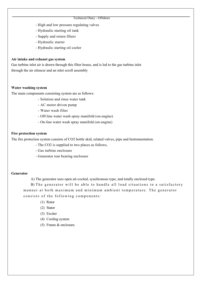- High and low pressure regulating valves
- Hydraulic starting oil tank
- Supply and return filters
- Hydraulic starter
- Hydraulic starting oil cooler

#### **Air intake and exhaust gas system**

Gas turbine inlet air is drawn through this filter house, and is led to the gas turbine inlet through the air silencer and an inlet scroll assembly

#### **Water washing system**

The main components consisting system are as follows:

- Solution and rinse water tank
- AC motor driven pump
- Water wash filter
- Off-line water wash spray manifold (on-engine)
- On-line water wash spray manifold (on-engine)

#### **Fire protection system**

The fire protection system consists of CO2 bottle skid, related valves, pipe and Instrumentation.

- The CO2 is supplied to two places as follows,
- Gas turbine enclosure
- Generator rear bearing enclosure

#### **Generator**

A) The generator uses open air-cooled, synchronous type, and totally enclosed type.

B) The generator will be able to handle all load situations in a satisfactory manner at both maximum and minimum ambient temperature. The generator consists of the following components:

- (1) Rotor
- (2) Stator
- (3) Exciter
- (4) Cooling system
- (5) Frame & enclosure.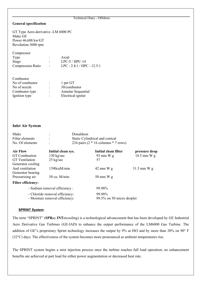#### **General specification**

GT Type Aero-derivative -LM 6000 PC Make GE Power 46,688 kw/GT Revolution 3600 rpm

Compressor Type : Axial Stage : LPC-5 / HPC-14 Stage<br>
Compression Ratio : LPC - 2.4:1 / HPC - 12.5:1

| Combustor       |   |                    |
|-----------------|---|--------------------|
| No of combustor | ÷ | 1 per GT           |
| No of nozzle    |   | 30/combustor       |
| Combustor type  | ÷ | Annular Sequential |
| Ignition type   | ٠ | Electrical igniter |
|                 |   |                    |

#### **Inlet Air System**

| Make            | Donaldson                               |
|-----------------|-----------------------------------------|
| Filter elements | Static Cylindrical and conical          |
| No. Of elements | 224 pairs $(2 * 16$ columns $* 7$ rows) |

| <b>Air Flow</b>                | Initial clean sys.            | Initial clean filter      | pressure drop |
|--------------------------------|-------------------------------|---------------------------|---------------|
| <b>GT</b> Combustion           | $130 \text{ kg/sec}$          | 93 mm $W$ g               | $18.5$ mm W g |
| <b>GT</b> Ventilation          | $25 \text{ kg/sec}$           | 57                        |               |
| Generator cooling              |                               |                           |               |
| And ventilation                | 1390cuM/min                   | $42 \text{ mm W g}$       | $31.5$ mm W g |
| Generator bearing              |                               |                           |               |
| Pressurising air               | $30 \text{ cu. } M/min$       | $50 \text{ mm}$ W g       |               |
| <b>Filter efficiency:</b>      |                               |                           |               |
|                                | - Sodium removal efficiency : | 99.98%                    |               |
| - Chloride removal efficiency: |                               | 99.98%                    |               |
| - Moisture removal efficiency: |                               | 99.5% on 50 micro droplet |               |

#### **SPRINT System**

The term "SPRINT" (**SPR**ay **INT**ercooling) is a technological advancement that has been developed by GE Industrial Aero Derivative Gas Turbines (GE-IAD) to enhance the output performance of the LM6000 Gas Turbine. The addition of GE"s proprietary Sprint technology increases the output by 9% at ISO and by more than 20% on 90° F (32°C) days. The effectiveness of the system becomes more pronounced as ambient temperatures rise.

The SPRINT system begins a mist injection process once the turbine reaches full load operation; no enhancement benefits are achieved at part load for either power augmentation or decreased heat rate.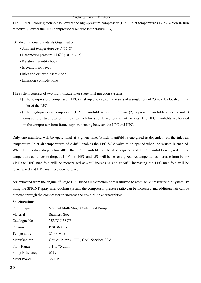The SPRINT cooling technology lowers the high-pressure compressor (HPC) inlet temperature (T2.5), which in turn effectively lowers the HPC compressor discharge temperature (T3).

ISO-International Standards Organization

- Ambient temperature 59 F (15 C)
- •Barometric pressure 14.6% (101.4 kPa)
- •Relative humidity 60%
- •Elevation sea level
- Inlet and exhaust losses-none
- •Emission controls-none

The system consists of two multi-nozzle inter stage mist injection systems

- 1) The low-pressure compressor (LPC) mist injection system consists of a single row of 23 nozzles located in the inlet of the LPC.
- 2) The high-pressure compressor (HPC) manifold is split into two (2) separate manifolds (inner / outer) consisting of two rows of 12 nozzles each for a combined total of 24 nozzles. The HPC manifolds are located in the compressor front frame support housing between the LPC and HPC.

Only one manifold will be operational at a given time. Which manifold is energized is dependent on the inlet air temperature. Inlet air temperatures of  $\geq 48^{\circ}F$  enables the LPC SOV valve to be opened when the system is enabled. When temperature drop below 48°F the LPC manifold will be de-energized and HPC manifold energized. If the temperature continues to drop, at 41°F both HPC and LPC will be de- energized. As temperatures increase from below 41°F the HPC manifold will be reenergized at 43°F increasing and at 50°F increasing the LPC manifold will be reenergized and HPC manifold de-energized.

Air extracted from the engine  $8<sup>th</sup>$  stage HPC bleed air extraction port is utilized to atomize & pressurize the system By using the SPRINT spray inter-cooling system, the compressor pressure ratio can be increased and additional air can be directed through the compressor to increase the gas turbine characteristics

#### **Specifications**

| Pump Type        |                            | Vertical Multi Stage Centrifugal Pump |
|------------------|----------------------------|---------------------------------------|
| Material         | $\ddot{\cdot}$             | Stainless Steel                       |
| Catalogue No     | $\ddot{\phantom{a}}$       | 3SVDK15SCP                            |
| Pressure         | $\mathcal{L}^{\text{max}}$ | P SI 360 max                          |
| Temperature      | $\mathbb{R}^{\mathbb{Z}}$  | 250 F Max                             |
| Manufacturer     | $\ddot{\cdot}$             | Goulds Pumps, ITT, G&L Services SSV   |
| Flow Range       |                            | $\therefore$ 1 1 to 75 gpm            |
| Pump Efficiency: |                            | 65%                                   |
| Motor Power      | $\ddot{\cdot}$             | $3/4$ HP                              |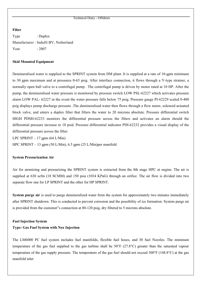#### **Filter**

Type : Duplex Manufacturer : Indufil BV, Netherland Year : 2007

#### **Skid Mounted Equipment**

Demineralised water is supplied to the SPRINT system from DM plant. It is supplied at a rate of 10-gpm minimum to 30 gpm maximum and at pressures 0-65 psig. After interface connection, it flows through a Y-type strainer, a normally open ball valve to a centrifugal pump . The centrifugal pump is driven by motor rated at 10 HP. After the pump, the demineralised water pressure is monitored by pressure switch LOW PSL-62227 which activates pressure alarm LOW PAL- 62227 in the event the water pressure falls below 75 psig. Pressure gauge PI-62229 scaled 0-400 psig displays pump discharge pressure .The demineralised water then flows through a flow meter, solenoid actuated block valve, and enters a duplex filter that filters the water to 20 microns absolute. Pressure differential switch HIGH PDSH-62233 monitors the differential pressure across the filters and activates an alarm should the differential pressure increase to 10 psid. Pressure differential indicator PDI-62232 provides a visual display of the differential pressure across the filter.

LPC SPRINT  $-17$  gpm (64 L/Min) HPC SPRINT – 13 gpm (50 L/Min), 6.5 gpm (25 L/Min)per manifold

#### **System Pressurization Air**

Air for atomizing and pressurizing the SPRINT system is extracted from the 8th stage HPC at engine. The air is supplied at 630 scfm (18 SCMM) and 150 psia (1034 KPaG) through an orifice. The air flow is divided into two separate flow one for LP SPRINT and the other for HP SPRINT.

**System purge air** is used to purge demineralized water from the system for approximately two minutes immediately after SPRINT shutdown. This is conducted to prevent corrosion and the possibility of ice formation. System purge air is provided from the customer"s connection at 80-120 psig, dry filtered to 5 microns absolute.

#### **Fuel Injection System**

#### **Type: Gas Fuel System with Nox Injection**

The LM6000 PC fuel system includes fuel manifolds, flexible fuel hoses, and 30 fuel Nozzles. The minimum temperature of the gas fuel supplied to the gas turbine shall be 50°F (27.8°C) greater than the saturated vapour temperature of the gas supply pressure. The temperature of the gas fuel should not exceed 300°F (148.8°C) at the gas manifold inlet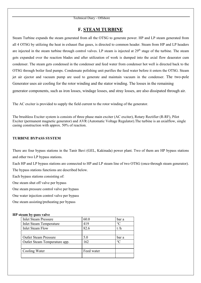#### **F. STEAM TURBINE**

Steam Turbine expands the steam generated from all the OTSG to generate power. HP and LP steam generated from all 4 OTSG by utilizing the heat in exhaust flue gases, is directed to common header. Steam from HP and LP headers are injected in the steam turbine through control valves. LP steam is injected at  $29<sup>th</sup>$  stage of the turbine. The steam gets expanded over the reaction blades and after utilization of work is dumped into the axial flow deaerator cum condenser. The steam gets condensed in the condenser and feed water from condenser hot well is directed back to the OTSG through boiler feed pumps. Condensate polishing unit purifies the feed water before it enters the OTSG. Steam jet air ejector and vacuum pump are used to generate and maintain vacuum in the condenser. The two-pole Generator uses air cooling for the rotor winding and the stator winding. The losses in the remaining generator components, such as iron losses, windage losses, and stray losses, are also dissipated through air.

The AC exciter is provided to supply the field current to the rotor winding of the generator.

The brushless Exciter system is consists of three phase main exciter (AC exciter), Rotary Rectifier (R-RF), Pilot Exciter (permanent magnetic generator) and AVR (Automatic Voltage Regulator).The turbine is an axialflow, single casing construction with approx. 50% of reaction.

#### **TURBINE BYPASS SYSTEM**

There are four bypass stations in the Tanir Bavi (GEL, Kakinada) power plant. Two of them are HP bypass stations and other two LP bypass stations.

Each HP and LP bypass stations are connected to HP and LP steam line of two OTSG (once-through steam generator). The bypass stations functions are described below.

Each bypass stations consisting of:

One steam shut off valve per bypass

One steam pressure control valve per bypass

One water injection control valve per bypass

One steam assisting/preheating per bypass

#### **HP steam by-pass valve**

| <b>Inlet Steam Pressure</b>    | 60.0       | bar a           |
|--------------------------------|------------|-----------------|
| <b>Inlet Steam Temperature</b> | 419        | $\rm ^{\circ}C$ |
| <b>Inlet Steam Flow</b>        | 82.6       | t/h             |
|                                |            |                 |
| <b>Outlet Steam Pressure</b>   | 5.0        | bar a           |
| Outlet Steam Temperature app.  | 162        | $\circ$ C       |
|                                |            |                 |
| Cooling Water                  | Feed water |                 |
|                                |            |                 |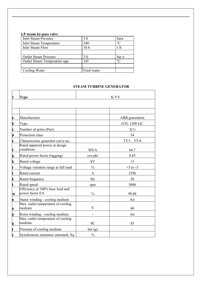#### **LP steam by-pass valve**

.

| <b>Inlet Steam Pressure</b>    | 5.8        | bara      |
|--------------------------------|------------|-----------|
| <b>Inlet Steam Temperature</b> | 240        | $\circ$ C |
| <b>Inlet Steam Flow</b>        | 30.6       | t/h       |
|                                |            |           |
| <b>Outlet Steam Pressure</b>   | 3.0        | bar a     |
| Outlet Steam Temperature app.  | 143        | $\circ$ C |
|                                |            |           |
| Cooling Water                  | Feed water |           |

### **STEAM TURBINE GENERATOR**

| 11<br><b>Type</b> |                                                                                    | K9V            |                       |  |  |
|-------------------|------------------------------------------------------------------------------------|----------------|-----------------------|--|--|
|                   |                                                                                    |                |                       |  |  |
|                   |                                                                                    |                |                       |  |  |
|                   | Manufacturer                                                                       |                | ABB generation        |  |  |
| Ib                | Type                                                                               |                | <b>GTL 1200 GC</b>    |  |  |
| ¢                 | Number of poles (Pair)                                                             |                | 2(1)                  |  |  |
| d                 | Protection class                                                                   |                | 54                    |  |  |
| ¢<br>Ĵ            | Characteristic generator curve no.<br>Rated apparent power at design<br>conditions | <b>MVA</b>     | $TT/1$ $TT/4$<br>64.7 |  |  |
| þ                 | Rated power factor (lagging)                                                       | cos phi        | 0.85                  |  |  |
| ħ                 | Rated voltage                                                                      | kV             | 11                    |  |  |
|                   | Voltage variation range at full load                                               | $\frac{0}{0}$  | $+5$ to $-5$          |  |  |
|                   | Rated current                                                                      | A              | 3396                  |  |  |
|                   | Rated frequency                                                                    | Hz             | 50                    |  |  |
|                   | Rated speed<br>Efficiency at 100% base load and                                    | rpm            | 3000                  |  |  |
| m                 | power factor 0.8                                                                   | $\frac{0}{0}$  | 98.48                 |  |  |
| Þ                 | Stator winding - cooling medium                                                    |                | Air                   |  |  |
| Ò                 | Max. outlet temperature of cooling<br>medium                                       | ${}^{\circ}C$  | 80                    |  |  |
| Þ                 | Rotor winding - cooling medium                                                     |                | Air                   |  |  |
| À                 | Max. outlet temperature of cooling<br>medium                                       | 0 <sup>C</sup> | 85                    |  |  |
| Ì                 | Pressure of cooling medium                                                         | bar(g)         |                       |  |  |
|                   | Synchronous reactance saturated, Xq                                                | $\frac{0}{0}$  |                       |  |  |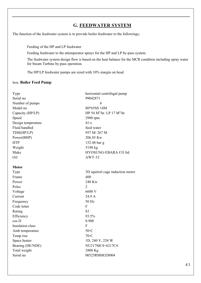# **G. FEEDWATER SYSTEM**

The function of the feedwater system is to provide boiler feedwater to the followings;

Feeding of the HP and LP feedwater

Feeding feedwater to the attemperator sprays for the HP and LP by-pass system.

The feedwater system design flow is based on the heat balance for the MCR condition including spray water for Steam Turbine by-pass operation.

The HP/LP feedwater pumps are sized with 10% margin on head

#### loss. **Boiler Feed Pump**

| Type               | horizontal centrifugal pump      |
|--------------------|----------------------------------|
| Serial no          | 99042871                         |
| Number of pumps    | 6                                |
| Model no           | 80*65SS 14M                      |
| Capacity (HP/LP)   | HP 54 $M^3$ /hr. LP 17 $M^3$ /hr |
| Speed              | 2980 rpm                         |
| Design temperature | $41\degree c$                    |
| Fluid handled      | feed water                       |
| TDH(HP/LP)         | 957 M/267 M                      |
| Power(BHP)         | 206.85 Kw                        |
| <b>HTP</b>         | 152.48 bar g                     |
| Weight             | 5190 kg                          |
| Make               | HYOSUNG-EBARA CO ltd             |
| Oil                | $AWT-32$                         |
|                    |                                  |
| <b>Motor</b>       |                                  |
| Type               | 3D squirrel cage induction motor |
| Frame              | 400                              |
| Power              | 240 Kw                           |
| Poles              | $\overline{2}$                   |
| Voltage            | 6600 V                           |
| Current            | 24.9 A                           |
| Frequency          | 50 Hz                            |
| Code letter        | $\overline{F}$                   |
| Rating             | S <sub>1</sub>                   |
| Efficiency         | 93.5%                            |
| cos D              | 0.900                            |
| Insulation class   | F                                |
| Amb temperature    | 50°C                             |
| Temp rise          | 70°C                             |
| Space heater       | 1D, 240 V, 238 W                 |
| Bearing (DE/NDE)   | NU217MC4+6217C4                  |
| Total weight       | 2800 Kg                          |
| Serial no          | 00525RMHO28004                   |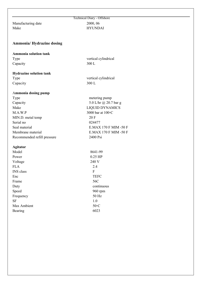Manufacturing date 2000, 06

# Technical Diary - Offshore Make HYUNDAI

#### **Ammonia/ Hydrazine dosing**

#### **Ammonia solution tank** Type vertical cylindrical Capacity 300 L

#### **Hydrazine solution tank**

Capacity 300 L

Type vertical cylindrical

### A**mmonia dosing pump**

Type metering pump Capacity 5.0 L/hr @ 20.7 bar g Make LIQUID DYNAMICS M.A.W.P  $3000 \text{ bar at } 100 \text{°C}$ MIN.D. metal temp 20 F Serial no 024477 Seal material E.MAX 170 F MIM -50 F Membrane material E.MAX 170 F MIM -50 F Recommended refill pressure 2400 Psi

#### **Agitator**

| Model            | 8641-99     |
|------------------|-------------|
| Power            | $0.25$ HP   |
| Voltage          | 240 V       |
| <b>FLA</b>       | 2.4         |
| <b>INS</b> class | F           |
| Enc              | <b>TEFC</b> |
| Frame            | 56C         |
| Duty             | continuous  |
| Speed            | 960 rpm     |
| Frequency        | 50 Hz       |
| <b>SF</b>        | 1.0         |
| Max Ambient      | 50°C        |
| Bearing          | 6023        |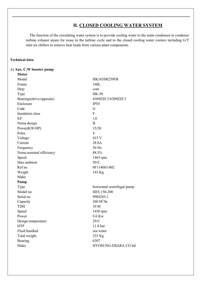# **H. CLOSED COOLING WATER SYSTEM**

The function of the circulating water system is to provide cooling water to the main condenser to condense turbine exhaust steam for reuse in the turbine cycle and to the closed cooling water coolers including G/T inlet air chillers to remove heat loads from various plant components.

#### **Technical data**

**Motor**

#### A) **Aux. C.W booster pump**

| Model                    | <b>HK165SR259FB</b>         |
|--------------------------|-----------------------------|
| Frame                    | 160L                        |
| Duty                     | cont                        |
| Type                     | <b>HK-50</b>                |
| Bearings(drive/opposite) | 6309ZZC3/6309ZZC3           |
| Enclosure                | <b>IP54</b>                 |
| Code                     | G                           |
| Insulation class         | ${\bf F}$                   |
| S.F                      | 1.0                         |
| Nema design              | $\overline{B}$              |
| Power(KW/HP)             | 15/20                       |
| Poles                    | $\overline{4}$              |
| Voltage                  | 415 V                       |
| Current                  | 28.8A                       |
| Frequency                | 50 Hz                       |
| Nema nominal efficiency  | 88.5%                       |
| Speed                    | 1465 rpm                    |
| Max ambient              | 50°C                        |
| Ref no                   | 0F114083-002                |
| Weight                   | 143 Kg                      |
| Make                     |                             |
| Pump                     |                             |
| Type                     | horizontal centrifugal pump |
| Model no                 | <b>HES 150-200</b>          |
| Serial no                | 9904243-1                   |
| Capacity                 | $260 M^3/hr$                |
| <b>TDH</b>               | $10 M$                      |
| Speed                    | 1450 rpm                    |
| Power                    | 9.6 Kw                      |
| Design temperature       | 29°C                        |
| <b>HTP</b>               | 11.8 bar                    |
| Fluid handled            | sea water                   |
| Total weight             | 323 Kg                      |
| Bearing                  | 6307                        |
| Make                     | HYOSUNG-EBARA CO ltd        |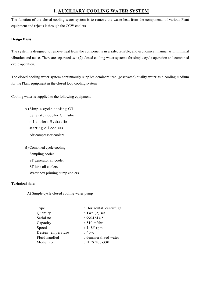# **I. AUXILIARY COOLING WATER SYSTEM**

The function of the closed cooling water system is to remove the waste heat from the components of various Plant equipment and rejects it through the CCW coolers.

#### **Design Basis**

The system is designed to remove heat from the components in a safe, reliable, and economical manner with minimal vibration and noise. There are separated two (2) closed cooling water systems for simple cycle operation and combined cycle operation.

The closed cooling water system continuously supplies demineralized (passivated) quality water as a cooling medium for the Plant equipment in the closed loop cooling system.

Cooling water is supplied to the following equipment.

A) Simple cycle cooling GT generator cooler GT lube oil coolers Hydraulic starting oil coolers Air compressor coolers

B) Combined cycle cooling Sampling cooler ST generator air cooler ST lube oil coolers Water box priming pump coolers

#### **Technical data**

A) Simple cycle closed cooling water pump

| Type               | : Horizontal, centrifugal |
|--------------------|---------------------------|
| Quantity           | : Two $(2)$ set           |
| Serial no          | $: 9904243 - 5$           |
| Capacity           | : 510 $m^3/hr$            |
| Speed              | $: 1485$ rpm              |
| Design temperature | $:40\circ c$              |
| Fluid handled      | : demineralized water     |
| Model no           | : HES 200-330             |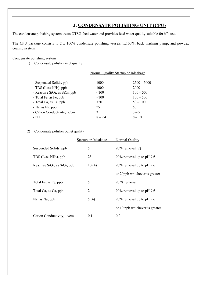# **J. CONDENSATE POLISHING UNIT (CPU)**

The condensate polishing system treats OTSG feed water and provides feed water quality suitable for it"s use.

The CPU package consists to 2 x 100% condensate polishing vessels 1x100%, back washing pump, and powdex coating system.

Condensate polishing system

1) Condensate polisher inlet quality

|                                                         | Normal Quality Startup or Inleakage |               |
|---------------------------------------------------------|-------------------------------------|---------------|
| - Suspended Solids, ppb                                 | 1000                                | $2500 - 5000$ |
| - TDS (Less NH <sub>3</sub> ), ppb                      | 1000                                | 2000          |
| - Reactive SiO <sub>2</sub> , as SiO <sub>2</sub> , ppb | < 100                               | $100 - 500$   |
| - Total Fe, as Fe, ppb                                  | < 100                               | $100 - 500$   |
| - Total Ca, as Ca, ppb                                  | < 50                                | $50 - 100$    |
| - Na, as Na, ppb                                        | 25                                  | 50            |
| - Cation Conductivity, s/cm                             | 3                                   | $3 - 5$       |
| - PH                                                    | $8 - 9.4$                           | $8 - 10$      |

#### 2) Condensate polisher outlet quality

|                                   | Startup or Inleakage | Normal Quality                 |
|-----------------------------------|----------------------|--------------------------------|
| Suspended Solids, ppb             | 5                    | $90\%$ removal $(2)$           |
| TDS (Less NH <sub>3</sub> ), ppb  | 25                   | 90% removal up to pH 9.6       |
| Reactive $SiO2$ , as $SiO2$ , ppb | 10(4)                | 90% removal up to pH 9.6       |
|                                   |                      | or 20ppb whichever is greater  |
| Total Fe, as Fe, ppb              | 5                    | 90 % removal                   |
| Total Ca, as Ca, ppb              | 2                    | 90% removal up to pH 9.6       |
| Na, as Na, ppb                    | 5(4)                 | 90% removal up to pH $9.6$     |
|                                   |                      | or 10 ppb whichever is greater |
| Cation Conductivity, s/cm         | 0.1                  | 0.2                            |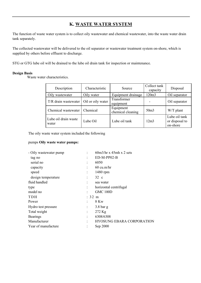# **K. WASTE WATER SYSTEM**

The function of waste water system is to collect oily wastewater and chemical wastewater, into the waste water drain tank separately.

The collected wastewater will be delivered to the oil separator or wastewater treatment system on-shore, which is supplied by others before effluent to discharge.

STG or GTG lube oil will be drained to the lube oil drain tank for inspection or maintenance.

#### **Design Basis**

Waste water characteristics.

| Description                   | Characteristic    | Source                         | Collect tank<br>capacity | Disposal                                    |
|-------------------------------|-------------------|--------------------------------|--------------------------|---------------------------------------------|
| Oily wastewater               | Oily water        | Equipment drainage             | 120m3                    | Oil separator                               |
| T/R drain wastewater          | Oil or oily water | Transformer<br>equipment       |                          | Oil separator                               |
| Chemical wastewater           | Chemical          | Equipment<br>chemical cleaning | 50 <sub>m3</sub>         | W/T plant                                   |
| Lube oil drain waste<br>water | Lube Oil          | Lube oil tank                  | 12m3                     | Lube oil tank<br>or disposal to<br>on-shore |

The oily waste water system included the following

#### pumps **Oily waste water pumps:**

| - Oily wastewater pump |                |                  | $60m3/hr \times 45mh \times 2$ sets |
|------------------------|----------------|------------------|-------------------------------------|
| tag no                 |                |                  | $ED-M-PP02-B$                       |
| serial no              |                |                  | 6050                                |
| capacity               |                |                  | $60 \text{ cu.m/hr}$                |
| speed                  | $\vdots$       |                  | 1480 rpm                            |
| design temperature     | ÷              |                  | $32\degree$ c                       |
| fluid handled          |                |                  | sea water                           |
| type                   |                |                  | horizontal centrifugal              |
| model no               |                |                  | <b>GMC 100D</b>                     |
| <b>TDH</b>             |                | $: 32 \text{ m}$ |                                     |
| Power                  |                |                  | 8 Kw                                |
| Hydro test pressure    | $\vdots$       |                  | $3.8$ bar g                         |
| Total weight           | $\ddot{\cdot}$ |                  | $272$ Kg                            |
| <b>Bearings</b>        |                |                  | 6308/6308                           |
| Manufacturer           | $\ddot{\cdot}$ |                  | <b>HYOSUNG EBARA CORPORATION</b>    |
| Year of manufacture    |                |                  | Sep 2000                            |
|                        |                |                  |                                     |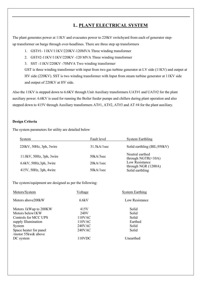# **L. PLANT ELECTRICAL SYSTEM**

The plant generates power at 11KV and evacuates power to 220kV switchyard from each of generator stepup transformer on barge through over-headlines. There are three step up transformers

1. GST#1- 11KV/11KV/220KV-120MVA Three winding transformer

2. GST#2-11KV/11KV/220KV -120 MVA Three winding transformer

3. SST -11KV/220KV -70MVA Two winding transformer

GST is three winding transformer with input from two gas turbine generator at LV side (11KV) and output at HV side (220KV). SST is two winding transformer with Input from steam turbine generator at 11KV side and output of 220KV at HV side.

Also the 11KV is stepped down to 6.6KV through Unit Auxiliary transformers UAT#1 and UAT#2 for the plant auxiliary power. 6.6KV is used for running the Boiler feeder pumps and chillers during plant operation and also stepped down to 415V through Auxiliary transformers AT#1, AT#2, AT#3 and AT #4 for the plant auxiliary.

#### **Design Criteria**

The system parameters for utility are detailed below

| System                              | Fault level | <b>System Earthling</b>                      |
|-------------------------------------|-------------|----------------------------------------------|
| 220kV, 50Hz, 3ph, 3wire             | 31.5kA/1sec | Solid earthling (BIL; 950kV)                 |
| 11.0kV, 50Hz, 3ph, 3wire            | 50kA/3sec   | Neutral earthed<br>through NGTR $(\leq 10A)$ |
| $6.6$ kV, $50$ Hz, $3$ ph, $3$ wire | 20kA/1sec   | Low Resistance                               |
| 415V, 50Hz, 3ph, 4wire              | 50kA/1sec   | through NGR $(1200A)$<br>Solid earthling     |

The system/equipment are designed as per the following:

| Motors/System                                | Voltage       | <b>System Earthing</b> |
|----------------------------------------------|---------------|------------------------|
| Motors above 200 kW                          | 6.6kV         | Low Resistance         |
| Motors 1kWup to 200KW                        | 415V          | Solid                  |
| Motors below1KW                              | 240V          | Solid                  |
| Controls for MCC UPS                         | $110$ VAC     | Solid                  |
| supply Illumination                          | 110VAC        | Earthed                |
| System                                       | $240$ VAC     | Solid                  |
| Space heater for panel<br>/motor 55kw& above | <b>240VAC</b> | Solid                  |
| DC system                                    | 110VDC        | Unearthed              |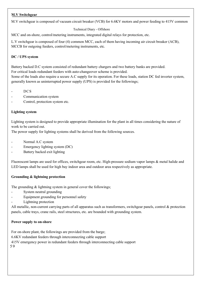#### **M.V Switchgear**

M.V switchgear is composed of vacuum circuit breaker (VCB) for 6.6KV motors and power feeding to 415V common

#### Technical Diary - Offshore

MCC and on-shore, control/metering instruments, integrated digital relays for protection, etc.

L.V switchgear is composed of four (4) common MCC, each of them having incoming air circuit breaker (ACB), MCCB for outgoing feeders, control/metering instruments, etc.

#### **DC / UPS system**

Battery backed D.C system consisted of redundant battery chargers and two battery banks are provided. For critical loads redundant feeders with auto-changeover scheme is provided.

Some of the loads also require a secure A.C supply for its operation. For these loads, station DC fed inverter system, generally known as uninterrupted power supply (UPS) is provided for the followings;

#### D<sub>CS</sub>

- Communication system
- Control, protection system etc.

#### **Lighting system**

Lighting system is designed to provide appropriate illumination for the plant in all times considering the nature of work to be carried out.

The power supply for lighting systems shall be derived from the following sources.

- Normal A.C system
- Emergency lighting system (DC)
- Battery backed exit lighting

Fluorescent lamps are used for offices, switchgear room, etc. High-pressure sodium vapor lamps & metal halide and LED lamps shall be used for high bay indoor area and outdoor area respectively as appropriate.

#### **Grounding & lightning protection**

The grounding & lightning system in general cover the followings;

- System neutral grounding
- Equipment grounding for personnel safety
- Lightning protection

All metallic, non-current carrying parts of all apparatus such as transformers, switchgear panels, control & protection panels, cable trays, crane rails, steel structures, etc. are bounded with grounding system.

#### **Power supply to on-shore**

For on-shore plant, the followings are provided from the barge; 6.6KV redundant feeders through interconnecting cable support 415V emergency power in redundant feeders through interconnecting cable support 5 9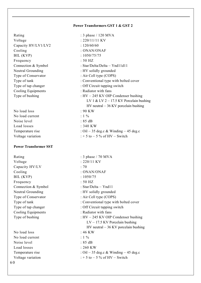#### **Power Transformers GST 1 & GST 2**

Voltage : 220/11/11 KV Capacity HV/LV1/LV2 : 120/60/60 Cooling : ONAN/ONAF BIL (KVP) : 1050/75/75 Frequency : 50 HZ Neutral Grounding : HV solidly grounded Type of Conservator : Air Cell type (COPS) Cooling Equipments : Radiator with fans

No load loss : 90 KW No load current  $: 1\%$ Noise level : 85 dB Load losses : 340 KW

#### **Power Transformer SST**

Voltage : 220/11 KV Capacity HV/LV : 70 Cooling : ONAN/ONAF BIL (KVP) : 1050/75 Frequency : 50 HZ Connection & Symbol : Star/Delta – Ynd11 Cooling Equipments : Radiator with fans

No load loss : 46 KW No load current : 1 % Noise level : 85 dB Load losses : 260 KW 6 0

Rating : 3 phase / 120 MVA Connection & Symbol : Star/Delta/Delta – Ynd11d11 Type of tank  $\blacksquare$ : Conventional type with bolted cover Type of tap changer : Off Circuit tapping switch Type of bushing : HV – 245 KV OIP Condenser bushing LV 1 & LV 2 – 17.5 KV Porcelain bushing HV neutral – 36 KV porcelain bushing Temperature rise :  $\frac{1}{1}$  :  $\frac{1}{35}$  deg.c & Winding – 45 deg.c Voltage variation  $: +5$  to  $-5$  % of HV – Switch

Rating : 3 phase / 70 MVA Neutral Grounding : HV solidly grounded Type of Conservator : Air Cell type (COPS) Type of tank : Conventional type with bolted cover Type of tap changer : Off Circuit tapping switch Type of bushing  $:HV - 245 KV$  OIP Condenser bushing LV – 17.5 KV Porcelain bushing HV neutral – 36 KV porcelain bushing Temperature rise :  $\frac{1}{1}$  :  $\frac{1}{35}$  deg.c & Winding – 45 deg.c Voltage variation  $: +5$  to  $-5$  % of HV – Switch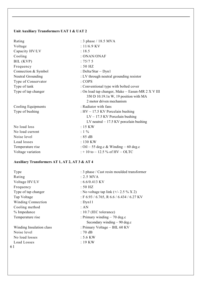# **Unit Auxiliary Transformers UAT 1 & UAT 2**

| Rating              | : 3 phase / 18.5 MVA                             |
|---------------------|--------------------------------------------------|
| Voltage             | $: 11/6.9$ KV                                    |
| Capacity HV/LV      | : 18.5                                           |
| Cooling             | : ONAN/ONAF                                      |
| BIL (KVP)           | : 75/75                                          |
| Frequency           | $:50$ HZ                                         |
| Connection & Symbol | : Delta/Star $-$ Dyn1                            |
| Neutral Grounding   | : LV through neutral grounding resistor          |
| Type of Conservator | : COPS                                           |
| Type of tank        | : Conventional type with bolted cover            |
| Type of tap changer | : On load tap changer, Make - Easun-MR 2 X V III |
|                     | 350 D 10.19.1n W, 19 position with MA            |
|                     | 2 motor driven mechanism                         |
| Cooling Equipments  | : Radiator with fans                             |
| Type of bushing     | : $HV - 17.5$ KV Porcelain bushing               |
|                     | $LV - 17.5$ KV Porcelain bushing                 |
|                     | LV neutral $-17.5$ KV porcelain bushing          |
| No load loss        | $:15$ KW                                         |
| No load current     | $: 1 \%$                                         |
| Noise level         | : 85 dB                                          |
| Load losses         | $: 130$ KW                                       |
| Temperature rise    | : Oil – 55 deg.c & Winding – 60 deg.c            |
| Voltage variation   | $: +10$ to $-12.5$ % of HV $-$ OLTC              |

# **Auxiliary Transformers AT 1, AT 2, AT 3 & AT 4**

| Type                     | : 3 phase / Cast resin moulded transformer  |
|--------------------------|---------------------------------------------|
| Rating                   | $: 2.5$ MVA                                 |
| Voltage HV/LV            | $: 6.6/0.413$ KV                            |
| Frequency                | : 50 HZ                                     |
| Type of tap changer      | : No voltage tap link $(+/- 2.5 \% X 2)$    |
| Tap Voltage              | $E$ F 6.93 / 6.765, R 6.6 / 6.434 / 6.27 KV |
| Winding Connection       | $:$ Dyn $11$                                |
| Cooling method           | :AN                                         |
| % Impedance              | $: 10.7$ (IEC tolerance)                    |
| Temperature rise         | : Primary winding $-70$ deg.c               |
|                          | Secondary winding $-90$ deg.c               |
| Winding Insulation class | : Primary Voltage – BIL 60 KV               |
| Noise level              | : 70dB                                      |
| No load losses           | $: 5.6$ KW                                  |
| Load Losses              | : 19 KW                                     |
| 61                       |                                             |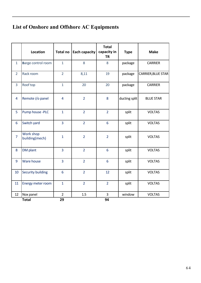# **List of Onshore and Offshore AC Equipments**

|                | <b>Location</b>             | <b>Total no</b>      | <b>Each capacity</b> | <b>Total</b><br>capacity in<br><b>TR</b> | <b>Type</b>   | <b>Make</b>        |
|----------------|-----------------------------|----------------------|----------------------|------------------------------------------|---------------|--------------------|
| $\mathbf{1}$   | Barge control room          | $\mathbf{1}$         | 8                    | 8                                        | package       | <b>CARRIER</b>     |
| $\overline{2}$ | Rack room                   | $\overline{2}$       | 8,11                 | 19                                       | package       | CARRIER, BLUE STAR |
| $\overline{3}$ | Roof top                    | $\mathbf{1}$         | 20                   | 20                                       | package       | <b>CARRIER</b>     |
| $\overline{4}$ | Remote i/o panel            | $\overline{4}$       | $\overline{2}$       | 8                                        | ducting split | <b>BLUE STAR</b>   |
| 5              | Pump house -PLC             | $\mathbf{1}$         | $\overline{2}$       | $\overline{2}$                           | split         | <b>VOLTAS</b>      |
| $6\phantom{1}$ | Switch yard                 | $\overline{3}$       | $\overline{2}$       | $6\overline{6}$                          | split         | <b>VOLTAS</b>      |
| $\overline{7}$ | Work shop<br>building(mech) | $\mathbf{1}$         | $\overline{2}$       | $\overline{2}$                           | split         | <b>VOLTAS</b>      |
| 8              | DM plant                    | 3                    | $\overline{2}$       | $6\phantom{1}$                           | split         | <b>VOLTAS</b>      |
| 9              | Ware house                  | $\overline{3}$       | $\overline{2}$       | $6\phantom{1}$                           | split         | <b>VOLTAS</b>      |
| 10             | <b>Security building</b>    | 6                    | $\overline{2}$       | 12                                       | split         | <b>VOLTAS</b>      |
| 11             | Energy meter room           | $\mathbf{1}$         | $\overline{2}$       | $\overline{2}$                           | split         | <b>VOLTAS</b>      |
| 12             | Nox panel<br><b>Total</b>   | $\overline{2}$<br>29 | 1.5                  | 3<br>94                                  | window        | <b>VOLTAS</b>      |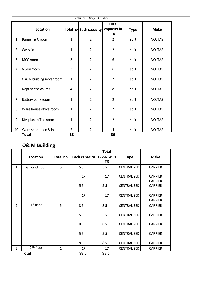|                |                            |                | <b>Technical Diary - Offshore</b> |                                          |             |               |
|----------------|----------------------------|----------------|-----------------------------------|------------------------------------------|-------------|---------------|
|                | Location                   |                | Total no Each capacity            | <b>Total</b><br>capacity in<br><b>TR</b> | <b>Type</b> | <b>Make</b>   |
| $\mathbf{1}$   | Barge I & C room           | $\mathbf{1}$   | $\overline{2}$                    | $\overline{2}$                           | split       | <b>VOLTAS</b> |
| $\overline{2}$ | Gas skid                   | $\mathbf{1}$   | $\overline{2}$                    | $\overline{2}$                           | split       | <b>VOLTAS</b> |
| 3              | MCC room                   | 3              | $\overline{2}$                    | 6                                        | split       | <b>VOLTAS</b> |
| 4              | 6.6 kv room                | $\overline{3}$ | $\overline{2}$                    | 6                                        | split       | <b>VOLTAS</b> |
| 5              | O & M building server room | $\mathbf{1}$   | $\overline{2}$                    | $\overline{2}$                           | split       | <b>VOLTAS</b> |
| 6              | Naptha enclosures          | $\overline{4}$ | $\overline{2}$                    | 8                                        | split       | <b>VOLTAS</b> |
| $\overline{7}$ | Battery bank room          | $\mathbf{1}$   | $\overline{2}$                    | $\overline{2}$                           | split       | <b>VOLTAS</b> |
| 8              | Ware house office room     | $\mathbf{1}$   | $\overline{2}$                    | $\overline{2}$                           | split       | <b>VOLTAS</b> |
| 9              | DM plant office room       | $\mathbf{1}$   | $\overline{2}$                    | $\overline{2}$                           | split       | <b>VOLTAS</b> |
| 10             | Work shop (elec & inst)    | $\overline{2}$ | $\overline{2}$                    | 4                                        | split       | <b>VOLTAS</b> |

# **O& M Building**

|                | Location                         | <b>Total no</b> | Each capacity | <b>Total</b><br>capacity in<br><b>TR</b> | <b>Type</b>        | <b>Make</b>                      |
|----------------|----------------------------------|-----------------|---------------|------------------------------------------|--------------------|----------------------------------|
| $\mathbf{1}$   | Ground floor                     | 5               | 5.5           | 5.5                                      | <b>CENTRALIZED</b> | <b>CARRIER</b>                   |
|                |                                  |                 | 17            | 17                                       | <b>CENTRALIZED</b> | <b>CARRIER</b><br><b>CARRIER</b> |
|                |                                  |                 | 5.5           | 5.5                                      | <b>CENTRALIZED</b> | <b>CARRIER</b>                   |
|                |                                  |                 | 17            | 17                                       | <b>CENTRALIZED</b> | <b>CARRIER</b><br><b>CARRIER</b> |
| $\overline{2}$ | $1st$ floor                      | 5               | 8.5           | 8.5                                      | <b>CENTRALIZED</b> | <b>CARRIER</b>                   |
|                |                                  |                 | 5.5           | 5.5                                      | <b>CENTRALIZED</b> | <b>CARRIER</b>                   |
|                |                                  |                 | 8.5           | 8.5                                      | <b>CENTRALIZED</b> | <b>CARRIER</b>                   |
|                |                                  |                 | 5.5           | 5.5                                      | <b>CENTRALIZED</b> | <b>CARRIER</b>                   |
|                |                                  |                 | 8.5           | 8.5                                      | <b>CENTRALIZED</b> | <b>CARRIER</b>                   |
| 3              | $\overline{2}^{\text{ND}}$ floor | $\mathbf 1$     | 17            | 17                                       | CENTRALIZED        | <b>CARRIER</b>                   |
|                | <b>Total</b>                     |                 | 98.5          | 98.5                                     |                    |                                  |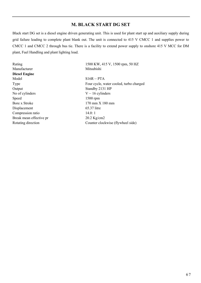# **M. BLACK START DG SET**

Black start DG set is a diesel engine driven generating unit. This is used for plant start up and auxiliary supply during grid failure leading to complete plant blank out. The unit is connected to 415 V CMCC 1 and supplies power to CMCC 1 and CMCC 2 through bus tie. There is a facility to extend power supply to onshore 415 V MCC for DM plant, Fuel Handling and plant lighting load.

| Rating                  | 1500 KW, 415 V, 1500 rpm, 50 HZ         |
|-------------------------|-----------------------------------------|
| Manufacturer            | Mitsubishi                              |
| <b>Diesel Engine</b>    |                                         |
| Model                   | $S16R - PTA$                            |
| Type                    | Four cycle, water cooled, turbo charged |
| Output                  | Standby 2131 HP                         |
| No of cylinders         | $V - 16$ cylinders                      |
| Speed                   | $1500$ rpm                              |
| Bore x Stroke           | $170$ mm $X$ 180 mm                     |
| Displacement            | 65.37 litre                             |
| Compression ratio       | 14.0:1                                  |
| Break mean effective pr | 20.2 Kg/cm2                             |
| Rotating direction      | Counter clockwise (flywheel side)       |
|                         |                                         |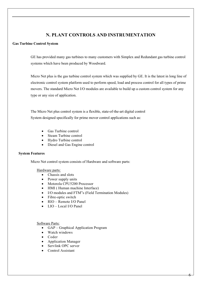## **N. PLANT CONTROLS AND INSTRUMENTATION**

#### **Gas Turbine Control System**

GE has provided many gas turbines to many customers with Simplex and Redundant gas turbine control systems which have been produced by Woodward.

Micro Net plus is the gas turbine control system which was supplied by GE. It is the latest in long line of electronic control system platform used to perform speed, load and process control for all types of prime movers. The standard Micro Net I/O modules are available to build up a custom control system for any type or any size of application.

The Micro Net plus control system is a flexible, state-of-the-art digital control System designed specifically for prime mover control applications such as:

- Gas Turbine control
- Steam Turbine control
- Hydro Turbine control
- Diesel and Gas Engine control

#### **System Features**

Micro Net control system consists of Hardware and software parts:

#### Hardware parts:

- Chassis and slots
- Power supply units
- Motorola CPU5200 Processor
- HMI ( Human machine Interface)
- I/O modules and FTM"s (Field Termination Modules)
- Fibre-optic switch
- $RIO -$ Remote I/O Panel
- LIO Local I/O Panel

#### Software Parts:

- GAP Graphical Application Program
- Watch windows
- Coder
- Application Manager
- Servlink OPC server
- Control Assistant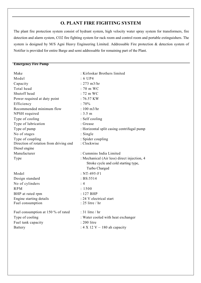## **O. PLANT FIRE FIGHTING SYSTEM**

The plant fire protection system consist of hydrant system, high velocity water spray system for transformers, fire detection and alarm system, CO2 fire fighting system for rack room and control room and portable extinguishers. The system is designed by M/S Agni Heavy Engineering Limited. Addressable Fire protection & detection system of Notifier is provided for entire Barge and semi addressable for remaining part of the Plant.

#### **Emergency Fire Pump**

| Make                                   | : Kirloskar Brothers limited                |
|----------------------------------------|---------------------------------------------|
| Model                                  | $: 6$ UP4                                   |
| Capacity                               | $: 273 \text{ m}3/\text{hr}$                |
| Total head                             | : 70 m WC                                   |
| Shutoff head                           | $: 72 \text{ m }$ WC                        |
| Power required at duty point           | $: 76.57$ KW                                |
| Efficiency                             | :70%                                        |
| Recommended minimum flow               | : $100 \text{ m}^3/\text{hr}$               |
| NPSH required                          | : 3.5 m                                     |
| Type of cooling                        | : Self cooling                              |
| Type of lubrication                    | : Grease                                    |
| Type of pump                           | : Horizontal split casing centrifugal pump  |
| No of stages                           | : Single                                    |
| Type of coupling                       | : Spider coupling                           |
| Direction of rotation from driving end | : Clockwise                                 |
| Diesel engine                          |                                             |
| Manufacturer                           | : Cummins India Limited                     |
| Type                                   | : Mechanical (Air less) direct injection, 4 |
|                                        | Stroke cycle and cold starting type,        |
|                                        | Turbo Charged                               |
| Model                                  | : NT-495-F1                                 |
| Design standard                        | : BS: 5514                                  |
| No of cylinders                        | : 4                                         |
| <b>RPM</b>                             | : 1500                                      |
| BHP at rated rpm                       | $: 127$ BHP                                 |
| Engine starting details                | : 24 V electrical start                     |
| Fuel consumption                       | : 25 litre / hr                             |
| Fuel consumption at 150 % of rated     | $: 31$ litre / hr                           |
|                                        |                                             |
| Type of cooling                        | : Water cooled with heat exchanger          |
| Fuel tank capacity                     | : 200 litre                                 |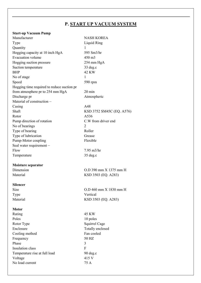# **P. START UP VACUUM SYSTEM**

#### **Start-up Vacuum Pump**

| Manufacturer                               | <b>NASH KOREA</b>         |
|--------------------------------------------|---------------------------|
| Type                                       | Liquid Ring               |
| Quantity                                   | 1                         |
| Hogging capacity at 10 inch HgA            | 595 Sm3/hr                |
| <b>Evacuation volume</b>                   | 450 m3                    |
| Hogging suction pressure                   | 254 mm HgA                |
| Suction temperature                        | 33 deg.c                  |
| <b>BHP</b>                                 | 42 KW                     |
| No of stage                                | 1                         |
| Speed                                      | 590 rpm                   |
| Hogging time required to reduce suction pr |                           |
| from atmosphere pr to 254 mm HgA           | $20 \text{ min}$          |
| Discharge pr                               | Atmospheric               |
| Material of construction -                 |                           |
| Casing                                     | A48                       |
| Shaft                                      | KSD 3752 SM45C (EQ. A576) |
| Rotor                                      | A536                      |
| Pump direction of rotation                 | C.W from driver end       |
| No of bearings                             | $\overline{2}$            |
| Type of bearing                            | Roller                    |
| Type of lubrication                        | Grease                    |
| Pump-Motor coupling                        | Flexible                  |
| Seal water requirement -                   |                           |
| Flow                                       | $7.95$ m $3$ /hr          |
| Temperature                                | $35 \deg.c$               |
|                                            |                           |
| Moisture separator                         |                           |
| Dimension                                  | O.D 390 mm X 1375 mm H    |
| Material                                   | KSD 3503 (EQ. A283)       |
|                                            |                           |
| <b>Silencer</b>                            |                           |
| Size                                       | O.D 460 mm X 1830 mm H    |
| Type                                       | Vertical                  |
| Material                                   | KSD 3503 (EQ. A283)       |
|                                            |                           |
| <b>Motor</b>                               |                           |
| Rating                                     | 45 KW                     |
| Poles                                      | 10 poles                  |
| Rotor Type                                 | Squirrel Cage             |
| Enclosure                                  | Totally enclosed          |
| Cooling method                             | Fan cooled                |
| Frequency                                  | 50 HZ                     |
| Phase                                      | 3                         |
| Insulation class                           | F                         |
| Temperature rise at full load              | $90 \text{ deg.c}$        |
| Voltage                                    | 415 V                     |
| No load current                            | 75 A                      |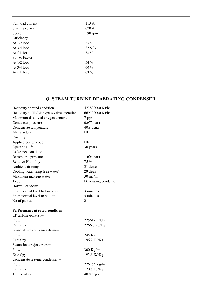| Full load current | 113 A   |
|-------------------|---------|
| Starting current  | 670 A   |
| Speed             | 590 rpm |
| $Efficiency-$     |         |
| At $1/2$ load     | $85\%$  |
| At $3/4$ load     | 87.5 %  |
| At full load      | 88 %    |
| Power Factor –    |         |
| At $1/2$ load     | 54 %    |
| At $3/4$ load     | $60\%$  |
| At full load      | $63\%$  |
|                   |         |

# **Q. STEAM TURBINE DEAERATING CONDENSER**

| Heat duty at rated condition              | 473800000 KJ/hr      |
|-------------------------------------------|----------------------|
| Heat duty at HP/LP bypass valve operation | 669700000 KJ/hr      |
| Maximum dissolved oxygen content          | 7 ppb                |
| Condenser pressure                        | $0.077$ bara         |
| Condensate temperature                    | 40.8 deg.c           |
| Manufacturer                              | HHI                  |
| Quantity                                  | 1                    |
| Applied design code                       | <b>HEI</b>           |
| Operating life                            | 30 years             |
| Reference condition -                     |                      |
| Barometric pressure                       | 1.004 bara           |
| <b>Relative Humidity</b>                  | 75 %                 |
| Ambient air temp                          | $31$ deg.c           |
| Cooling water temp (sea water)            | 29 deg.c             |
| Maximum makeup water                      | $30 \text{ m}$ 3/hr  |
| Type                                      | Deaerating condenser |
| Hotwell capacity -                        |                      |
| From normal level to low level            | 3 minutes            |
| From normal level to bottom               | 5 minutes            |
| No of passes                              | 2                    |
|                                           |                      |
| Performance at rated condition            |                      |
| LP turbine $exhaust -$                    |                      |
| Flow                                      | 225619 m3/hr         |
| Enthalpy                                  | 2266.7 KJ/Kg         |
| Gland steam condenser drain -             |                      |
| Flow                                      | 245 Kg/hr            |
| Enthalpy                                  | 196.2 KJ/Kg          |
| Steam Jet air ejector drain -             |                      |
| Flow                                      | 300 Kg.hr            |
| Enthalpy                                  | 193.5 KJ/Kg          |
| Condensate leaving condenser -            |                      |
| Flow                                      | 226164 Kg/hr         |
| Enthalpy                                  | 170.8 KJ/Kg          |
| Temperature                               | $40.8$ deg.c.        |